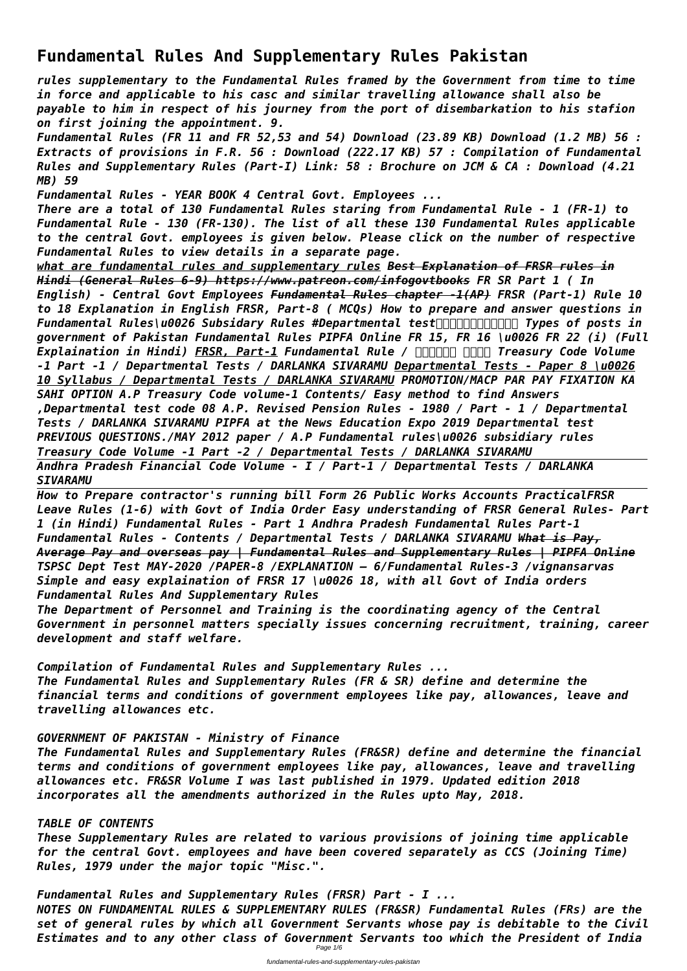# **Fundamental Rules And Supplementary Rules Pakistan**

*rules supplementary to the Fundamental Rules framed by the Government from time to time in force and applicable to his casc and similar travelling allowance shall also be payable to him in respect of his journey from the port of disembarkation to his stafion on first joining the appointment. 9.*

*Fundamental Rules (FR 11 and FR 52,53 and 54) Download (23.89 KB) Download (1.2 MB) 56 : Extracts of provisions in F.R. 56 : Download (222.17 KB) 57 : Compilation of Fundamental Rules and Supplementary Rules (Part-I) Link: 58 : Brochure on JCM & CA : Download (4.21 MB) 59*

*Fundamental Rules - YEAR BOOK 4 Central Govt. Employees ...*

*There are a total of 130 Fundamental Rules staring from Fundamental Rule - 1 (FR-1) to Fundamental Rule - 130 (FR-130). The list of all these 130 Fundamental Rules applicable to the central Govt. employees is given below. Please click on the number of respective Fundamental Rules to view details in a separate page.*

*what are fundamental rules and supplementary rules Best Explanation of FRSR rules in Hindi (General Rules 6-9) https://www.patreon.com/infogovtbooks FR SR Part 1 ( In English) - Central Govt Employees Fundamental Rules chapter -1(AP) FRSR (Part-1) Rule 10 to 18 Explanation in English FRSR, Part-8 ( MCQs) How to prepare and answer questions in Fundamental Rules\u0026 Subsidary Rules #Departmental test Types of posts in government of Pakistan Fundamental Rules PIPFA Online FR 15, FR 16 \u0026 FR 22 (i) (Full Explaination in Hindi) FRSR, Part-1 Fundamental Rule / HARAH HARA Treasury Code Volume -1 Part -1 / Departmental Tests / DARLANKA SIVARAMU Departmental Tests - Paper 8 \u0026 10 Syllabus / Departmental Tests / DARLANKA SIVARAMU PROMOTION/MACP PAR PAY FIXATION KA SAHI OPTION A.P Treasury Code volume-1 Contents/ Easy method to find Answers ,Departmental test code 08 A.P. Revised Pension Rules - 1980 / Part - 1 / Departmental Tests / DARLANKA SIVARAMU PIPFA at the News Education Expo 2019 Departmental test PREVIOUS QUESTIONS./MAY 2012 paper / A.P Fundamental rules\u0026 subsidiary rules Treasury Code Volume -1 Part -2 / Departmental Tests / DARLANKA SIVARAMU Andhra Pradesh Financial Code Volume - I / Part-1 / Departmental Tests / DARLANKA SIVARAMU*

*How to Prepare contractor's running bill Form 26 Public Works Accounts PracticalFRSR Leave Rules (1-6) with Govt of India Order Easy understanding of FRSR General Rules- Part 1 (in Hindi) Fundamental Rules - Part 1 Andhra Pradesh Fundamental Rules Part-1 Fundamental Rules - Contents / Departmental Tests / DARLANKA SIVARAMU What is Pay, Average Pay and overseas pay | Fundamental Rules and Supplementary Rules | PIPFA Online TSPSC Dept Test MAY-2020 /PAPER-8 /EXPLANATION – 6/Fundamental Rules-3 /vignansarvas Simple and easy explaination of FRSR 17 \u0026 18, with all Govt of India orders Fundamental Rules And Supplementary Rules*

*The Department of Personnel and Training is the coordinating agency of the Central Government in personnel matters specially issues concerning recruitment, training, career development and staff welfare.*

*Compilation of Fundamental Rules and Supplementary Rules ... The Fundamental Rules and Supplementary Rules (FR & SR) define and determine the financial terms and conditions of government employees like pay, allowances, leave and travelling allowances etc.*

# *GOVERNMENT OF PAKISTAN - Ministry of Finance*

*The Fundamental Rules and Supplementary Rules (FR&SR) define and determine the financial terms and conditions of government employees like pay, allowances, leave and travelling allowances etc. FR&SR Volume I was last published in 1979. Updated edition 2018 incorporates all the amendments authorized in the Rules upto May, 2018.*

#### *TABLE OF CONTENTS*

*These Supplementary Rules are related to various provisions of joining time applicable for the central Govt. employees and have been covered separately as CCS (Joining Time) Rules, 1979 under the major topic "Misc.".*

*Fundamental Rules and Supplementary Rules (FRSR) Part - I ...*

*NOTES ON FUNDAMENTAL RULES & SUPPLEMENTARY RULES (FR&SR) Fundamental Rules (FRs) are the set of general rules by which all Government Servants whose pay is debitable to the Civil Estimates and to any other class of Government Servants too which the President of India* Page 1/6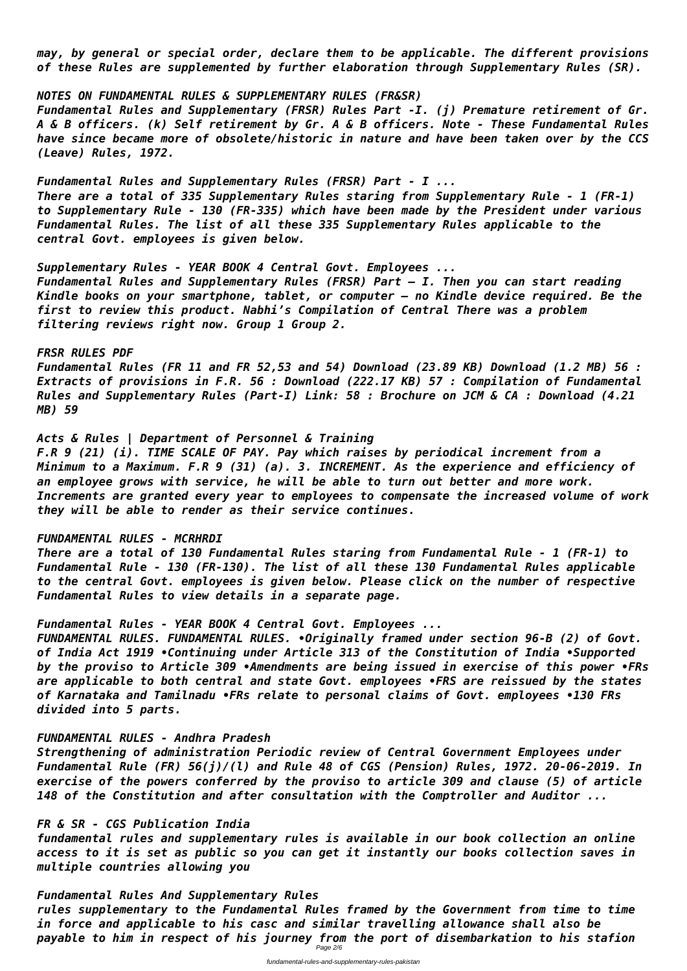*may, by general or special order, declare them to be applicable. The different provisions of these Rules are supplemented by further elaboration through Supplementary Rules (SR).*

*NOTES ON FUNDAMENTAL RULES & SUPPLEMENTARY RULES (FR&SR) Fundamental Rules and Supplementary (FRSR) Rules Part -I. (j) Premature retirement of Gr. A & B officers. (k) Self retirement by Gr. A & B officers. Note - These Fundamental Rules have since became more of obsolete/historic in nature and have been taken over by the CCS (Leave) Rules, 1972.*

*Fundamental Rules and Supplementary Rules (FRSR) Part - I ... There are a total of 335 Supplementary Rules staring from Supplementary Rule - 1 (FR-1) to Supplementary Rule - 130 (FR-335) which have been made by the President under various Fundamental Rules. The list of all these 335 Supplementary Rules applicable to the central Govt. employees is given below.*

*Supplementary Rules - YEAR BOOK 4 Central Govt. Employees ... Fundamental Rules and Supplementary Rules (FRSR) Part – I. Then you can start reading Kindle books on your smartphone, tablet, or computer – no Kindle device required. Be the first to review this product. Nabhi's Compilation of Central There was a problem filtering reviews right now. Group 1 Group 2.*

#### *FRSR RULES PDF*

*Fundamental Rules (FR 11 and FR 52,53 and 54) Download (23.89 KB) Download (1.2 MB) 56 : Extracts of provisions in F.R. 56 : Download (222.17 KB) 57 : Compilation of Fundamental Rules and Supplementary Rules (Part-I) Link: 58 : Brochure on JCM & CA : Download (4.21 MB) 59*

### *Acts & Rules | Department of Personnel & Training*

*rules supplementary to the Fundamental Rules framed by the Government from time to time in force and applicable to his casc and similar travelling allowance shall also be payable to him in respect of his journey from the port of disembarkation to his stafion* Page 2/6

*F.R 9 (21) (i). TIME SCALE OF PAY. Pay which raises by periodical increment from a Minimum to a Maximum. F.R 9 (31) (a). 3. INCREMENT. As the experience and efficiency of an employee grows with service, he will be able to turn out better and more work. Increments are granted every year to employees to compensate the increased volume of work they will be able to render as their service continues.*

### *FUNDAMENTAL RULES - MCRHRDI*

*There are a total of 130 Fundamental Rules staring from Fundamental Rule - 1 (FR-1) to Fundamental Rule - 130 (FR-130). The list of all these 130 Fundamental Rules applicable to the central Govt. employees is given below. Please click on the number of respective Fundamental Rules to view details in a separate page.*

### *Fundamental Rules - YEAR BOOK 4 Central Govt. Employees ...*

*FUNDAMENTAL RULES. FUNDAMENTAL RULES. •Originally framed under section 96-B (2) of Govt. of India Act 1919 •Continuing under Article 313 of the Constitution of India •Supported by the proviso to Article 309 •Amendments are being issued in exercise of this power •FRs are applicable to both central and state Govt. employees •FRS are reissued by the states of Karnataka and Tamilnadu •FRs relate to personal claims of Govt. employees •130 FRs divided into 5 parts.*

### *FUNDAMENTAL RULES - Andhra Pradesh*

*Strengthening of administration Periodic review of Central Government Employees under Fundamental Rule (FR) 56(j)/(l) and Rule 48 of CGS (Pension) Rules, 1972. 20-06-2019. In exercise of the powers conferred by the proviso to article 309 and clause (5) of article 148 of the Constitution and after consultation with the Comptroller and Auditor ...*

## *FR & SR - CGS Publication India*

*fundamental rules and supplementary rules is available in our book collection an online access to it is set as public so you can get it instantly our books collection saves in multiple countries allowing you*

# *Fundamental Rules And Supplementary Rules*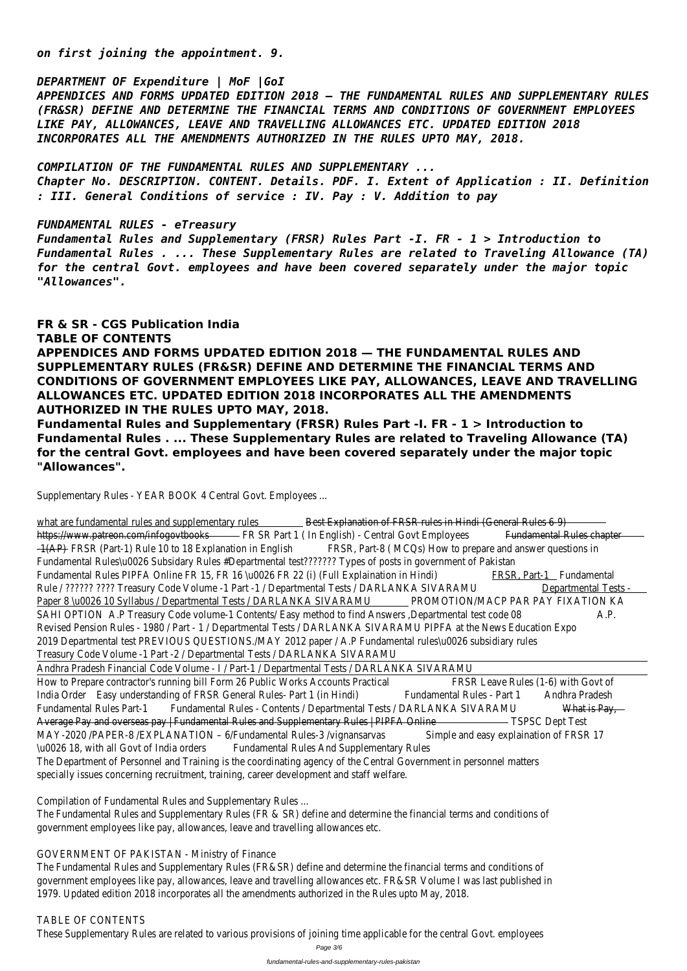*on first joining the appointment. 9.*

*DEPARTMENT OF Expenditure | MoF |GoI APPENDICES AND FORMS UPDATED EDITION 2018 — THE FUNDAMENTAL RULES AND SUPPLEMENTARY RULES (FR&SR) DEFINE AND DETERMINE THE FINANCIAL TERMS AND CONDITIONS OF GOVERNMENT EMPLOYEES LIKE PAY, ALLOWANCES, LEAVE AND TRAVELLING ALLOWANCES ETC. UPDATED EDITION 2018 INCORPORATES ALL THE AMENDMENTS AUTHORIZED IN THE RULES UPTO MAY, 2018.*

*COMPILATION OF THE FUNDAMENTAL RULES AND SUPPLEMENTARY ...*

*Chapter No. DESCRIPTION. CONTENT. Details. PDF. I. Extent of Application : II. Definition : III. General Conditions of service : IV. Pay : V. Addition to pay*

*FUNDAMENTAL RULES - eTreasury*

*Fundamental Rules and Supplementary (FRSR) Rules Part -I. FR - 1 > Introduction to Fundamental Rules . ... These Supplementary Rules are related to Traveling Allowance (TA) for the central Govt. employees and have been covered separately under the major topic "Allowances".*

# **FR & SR - CGS Publication India TABLE OF CONTENTS APPENDICES AND FORMS UPDATED EDITION 2018 — THE FUNDAMENTAL RULES AND SUPPLEMENTARY RULES (FR&SR) DEFINE AND DETERMINE THE FINANCIAL TERMS AND CONDITIONS OF GOVERNMENT EMPLOYEES LIKE PAY, ALLOWANCES, LEAVE AND TRAVELLING ALLOWANCES ETC. UPDATED EDITION 2018 INCORPORATES ALL THE AMENDMENTS AUTHORIZED IN THE RULES UPTO MAY, 2018. Fundamental Rules and Supplementary (FRSR) Rules Part -I. FR - 1 > Introduction to Fundamental Rules . ... These Supplementary Rules are related to Traveling Allowance (TA) for the central Govt. employees and have been covered separately under the major topic**

what are fundamental rules and supplementary Best Explanation of FRSR rules in Hindi (General Rules 6-9) https://www.patreon.com/infogovtbbooks Part 1 ( In English) - Central Govt Emploves amental Rules chapter -1(AP)FRSR (Part-1) Rule 10 to 18 Explanation in English Fart-8 (MCQs) How to prepare and answer questions in Fundamental Rules\u0026 Subsidary Rules #Departmental test??????? Types of posts in government of Pakistar Fundamental Rules PIPFA Online FR 15, FR 16 \u0026 FR 22 (i) (Full Explaination FRS-RnMart-1 Fundamental Rule / ?????? ???? Treasury Code Volume -1 Part -1 / Departmental Tests / DARLANKA SIVARAMU mental Tests -Paper 8 \u0026 10 Syllabus / Departmental Tests / DARLANKA SIVAR@MOTION/MACP PAR PAY FIXATION KA SAHI OPTION A.P Treasury Code volume-1 Contents/ Easy method to find Answers ,Departmental testa. Pode O& Revised Pension Rules - 1980 / Part - 1 / Departmental Tests / DARLANKA SIVARAMU PIPFA at the News Education 2019 Departmental test PREVIOUS QUESTIONS./MAY 2012 paper / A.P Fundamental rules\u0026 subsidiary rule Treasury Code Volume -1 Part -2 / Departmental Tests / DARLANKA SIVARAMU

**"Allowances".**

Supplementary Rules - YEAR BOOK 4 Central Govt. Employees ...

The Fundamental Rules and Supplementary Rules (FR & SR) define and determine the financial terms and conditions government employees like pay, allowances, leave and travelling allowances etc.

TABLE OF CONTENTS These Supplementary Rules are related to various provisions of joining time applicable for the central Govt. employe

Andhra Pradesh Financial Code Volume - I / Part-1 / Departmental Tests / DARLANKA SIVARAMU How to Prepare contractor's running bill Form 26 Public Works Accounts PRSR Licalive Rules (1-6) with Govt of India OrderEasy understanding of FRSR General Rules- Part 1 (in Hinumi) amental Rules - Part Andhra Pradesh Fundamental Rules Part-Fundamental Rules - Contents / Departmental Tests / DARLANKA SIVARAMENTIS Pay, Average Pay and overseas pay | Fundamental Rules and Supplementary Rules | PIPFA OSPISC Dept Test MAY-2020 /PAPER-8 /EXPLANATION - 6/Fundamental Rules-3 /vignarsiample and easy explaination of FRSR 17 \u0026 18, with all Govt of India drided amental Rules And Supplementary Rules The Department of Personnel and Training is the coordinating agency of the Central Government in personnel matte specially issues concerning recruitment, training, career development and staff welfare.

Compilation of Fundamental Rules and Supplementary Rules ...

GOVERNMENT OF PAKISTAN - Ministry of Finance

The Fundamental Rules and Supplementary Rules (FR&SR) define and determine the financial terms and conditions of government employees like pay, allowances, leave and travelling allowances etc. FR&SR Volume I was last published in 1979. Updated edition 2018 incorporates all the amendments authorized in the Rules upto May, 2018.

Page 3/6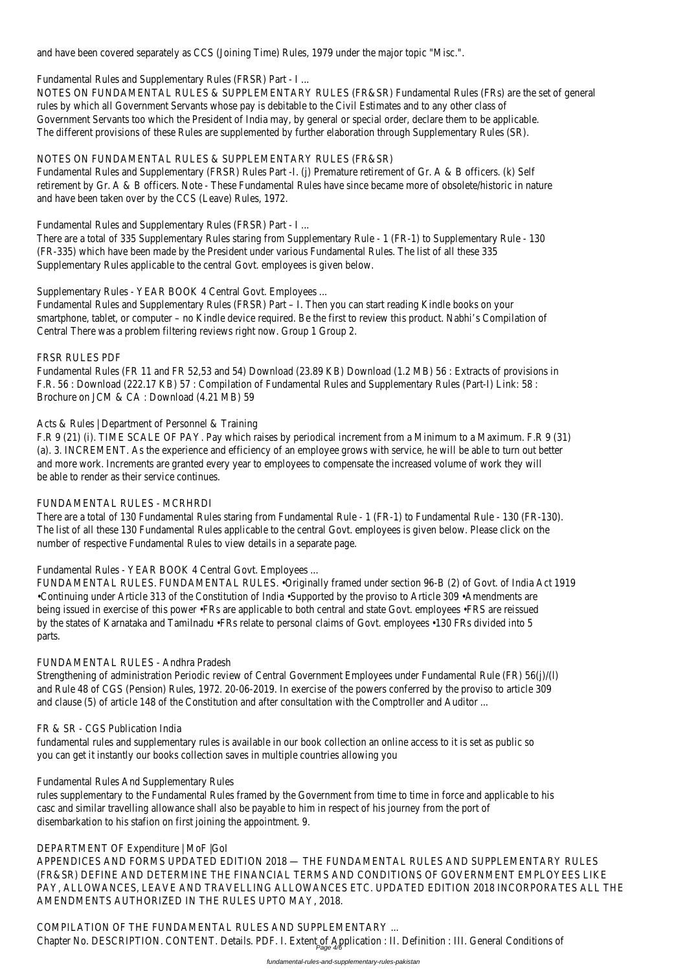and have been covered separately as CCS (Joining Time) Rules, 1979 under the major topic "Misc.".

Fundamental Rules and Supplementary Rules (FRSR) Part - I ...

NOTES ON FUNDAMENTAL RULES & SUPPLEMENTARY RULES (FR&SR) Fundamental Rules (FRs) are the set of general rules by which all Government Servants whose pay is debitable to the Civil Estimates and to any other class of Government Servants too which the President of India may, by general or special order, declare them to be applicab The different provisions of these Rules are supplemented by further elaboration through Supplementary Rules (SR).

Fundamental Rules and Supplementary (FRSR) Rules Part -I. (i) Premature retirement of Gr. A & B officers. (k) Self retirement by Gr. A & B officers. Note - These Fundamental Rules have since became more of obsolete/historic in na and have been taken over by the CCS (Leave) Rules, 1972.

# NOTES ON FUNDAMENTAL RULES & SUPPLEMENTARY RULES (FR&SR)

There are a total of 335 Supplementary Rules staring from Supplementary Rule - 1 (FR-1) to Supplementary Rule -(FR-335) which have been made by the President under various Fundamental Rules. The list of all these 335 Supplementary Rules applicable to the central Govt. employees is given below.

Fundamental Rules (FR 11 and FR 52,53 and 54) Download (23.89 KB) Download (1.2 MB) 56 : Extracts of provisio F.R. 56 : Download (222.17 KB) 57 : Compilation of Fundamental Rules and Supplementary Rules (Part-I) Link: 58 : Brochure on JCM & CA : Download (4.21 MB) 59

Fundamental Rules and Supplementary Rules (FRSR) Part - I ...

F.R 9 (21) (i). TIME SCALE OF PAY. Pay which raises by periodical increment from a Minimum to a Maximum. F.R 9 ( (a). 3. INCREMENT. As the experience and efficiency of an employee grows with service, he will be able to turn out and more work. Increments are granted every year to employees to compensate the increased volume of work they be able to render as their service continues.

Supplementary Rules - YEAR BOOK 4 Central Govt. Employees ...

There are a total of 130 Fundamental Rules staring from Fundamental Rule - 1 (FR-1) to Fundamental Rule - 130 (F The list of all these 130 Fundamental Rules applicable to the central Govt. employees is given below. Please click or number of respective Fundamental Rules to view details in a separate page.

Fundamental Rules and Supplementary Rules (FRSR) Part – I. Then you can start reading Kindle books on your smartphone, tablet, or computer – no Kindle device required. Be the first to review this product. Nabhi's Compilation Central There was a problem filtering reviews right now. Group 1 Group 2.

# FRSR RULES PDF

Strengthening of administration Periodic review of Central Government Employees under Fundamental Rule (FR) 56( and Rule 48 of CGS (Pension) Rules, 1972. 20-06-2019. In exercise of the powers conferred by the proviso to arti and clause (5) of article 148 of the Constitution and after consultation with the Comptroller and Auditor ...

fundamental rules and supplementary rules is available in our book collection an online access to it is set as public s you can get it instantly our books collection saves in multiple countries allowing you

# Acts & Rules | Department of Personnel & Training

rules supplementary to the Fundamental Rules framed by the Government from time to time in force and applicable casc and similar travelling allowance shall also be payable to him in respect of his journey from the port of disembarkation to his stafion on first joining the appointment. 9.

COMPILATION OF THE FUNDAMENTAL RULES AND SUPPLEMENTARY ... Chapter No. DESCRIPTION. CONTENT. Details. PDF. I. Extent of Application : II. Definition : III. General Conditions c

# FUNDAMENTAL RULES - MCRHRDI

Fundamental Rules - YEAR BOOK 4 Central Govt. Employees ...

FUNDAMENTAL RULES. FUNDAMENTAL RULES. •Originally framed under section 96-B (2) of Govt. of India Act 1919 •Continuing under Article 313 of the Constitution of India •Supported by the proviso to Article 309 •Amendments a being issued in exercise of this power · FRs are applicable to both central and state Govt. employees · FRS are reissu by the states of Karnataka and Tamilnadu •FRs relate to personal claims of Govt. employees •130 FRs divided into 5 parts.

# FUNDAMENTAL RULES - Andhra Pradesh

#### FR & SR - CGS Publication India

Fundamental Rules And Supplementary Rules

DEPARTMENT OF Expenditure | MoF |GoI APPENDICES AND FORMS UPDATED EDITION 2018 — THE FUNDAMENTAL RULES AND SUPPLEMENTARY RULES (FR&SR) DEFINE AND DETERMINE THE FINANCIAL TERMS AND CONDITIONS OF GOVERNMENT EMPLOYEES LIK PAY, ALLOWANCES, LEAVE AND TRAVELLING ALLOWANCES ETC. UPDATED EDITION 2018 INCORPORATES ALL THI AMENDMENTS AUTHORIZED IN THE RULES UPTO MAY, 2018.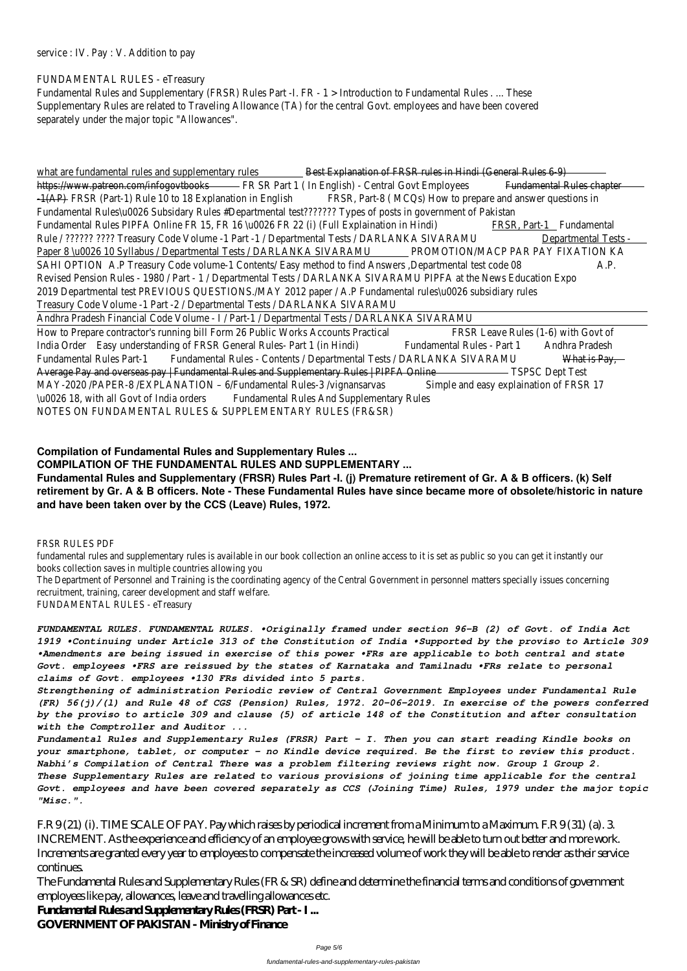service : IV. Pay : V. Addition to pay

### FUNDAMENTAL RULES - eTreasury

Fundamental Rules and Supplementary (FRSR) Rules Part -I. FR - 1 > Introduction to Fundamental Rules . ... These Supplementary Rules are related to Traveling Allowance (TA) for the central Govt. employees and have been covered separately under the major topic "Allowances".

what are fundamental rules and supplementary Best Explanation of FRSR rules in Hindi (General Rules 6-9) https://www.patreon.com/infogovtbb@KSR Part 1 ( In English) - Central Govt Emplofendamental Rules chapter -1(AP)FRSR (Part-1) Rule 10 to 18 Explanation in EnglRSSR, Part-8 (MCQs) How to prepare and answer questions in Fundamental Rules\u0026 Subsidary Rules #Departmental test??????? Types of posts in government of Pakistar Fundamental Rules PIPFA Online FR 15, FR 16 \u0026 FR 22 (i) (Full Explaination FRSRnMart-1 Fundamental Rule / ?????? ???? Treasury Code Volume -1 Part -1 / Departmental Tests / DARLANKA SIVARAMU mental Tests -Paper 8 \u0026 10 Syllabus / Departmental Tests / DARLANKA SIVARAMOTION/MACP PAR PAY FIXATION KA SAHI OPTION A.P Treasury Code volume-1 Contents/ Easy method to find Answers ,Departmental tes A. Pode O& Revised Pension Rules - 1980 / Part - 1 / Departmental Tests / DARLANKA SIVARAMU PIPFA at the News Education 2019 Departmental test PREVIOUS QUESTIONS./MAY 2012 paper / A.P Fundamental rules\u0026 subsidiary rules Treasury Code Volume -1 Part -2 / Departmental Tests / DARLANKA SIVARAMU

How to Prepare contractor's running bill Form 26 Public Works Accounts PRSR Licalve Rules (1-6) with Govt of India OrderEasy understanding of FRSR General Rules- Part 1 (in Hinmution and Rules - Part Andhra Pradesh Fundamental Rules Part-Fundamental Rules - Contents / Departmental Tests / DARLANKA SIVARAMENTIS Pay, Average Pay and overseas pay | Fundamental Rules and Supplementary Rules | PIPFA OSPISC Dept Test MAY-2020 /PAPER-8 /EXPLANATION - 6/Fundamental Rules-3 /vignarSiample and easy explaination of FRSR 17 \u0026 18, with all Govt of India drided amental Rules And Supplementary Rules NOTES ON FUNDAMENTAL RULES & SUPPLEMENTARY RULES (FR&SR)

fundamental rules and supplementary rules is available in our book collection an online access to it is set as public so you car books collection saves in multiple countries allowing you

Andhra Pradesh Financial Code Volume - I / Part-1 / Departmental Tests / DARLANKA SIVARAMU

The Department of Personnel and Training is the coordinating agency of the Central Government in personnel matters special recruitment, training, career development and staff welfare.

# **Compilation of Fundamental Rules and Supplementary Rules ... COMPILATION OF THE FUNDAMENTAL RULES AND SUPPLEMENTARY ...**

**Fundamental Rules and Supplementary (FRSR) Rules Part -I. (j) Premature retirement of Gr. A & B officers. (k) Self retirement by Gr. A & B officers. Note - These Fundamental Rules have since became more of obsolete/historic in nature and have been taken over by the CCS (Leave) Rules, 1972.**

#### FRSR RULES PDF

FUNDAMENTAL RULES - eTreasury

*FUNDAMENTAL RULES. FUNDAMENTAL RULES. •Originally framed under section 96-B (2) of Govt. of India Act 1919 •Continuing under Article 313 of the Constitution of India •Supported by the proviso to Article 309 •Amendments are being issued in exercise of this power •FRs are applicable to both central and state Govt. employees •FRS are reissued by the states of Karnataka and Tamilnadu •FRs relate to personal claims of Govt. employees •130 FRs divided into 5 parts.*

*Strengthening of administration Periodic review of Central Government Employees under Fundamental Rule (FR) 56(j)/(l) and Rule 48 of CGS (Pension) Rules, 1972. 20-06-2019. In exercise of the powers conferred by the proviso to article 309 and clause (5) of article 148 of the Constitution and after consultation with the Comptroller and Auditor ...*

*Fundamental Rules and Supplementary Rules (FRSR) Part – I. Then you can start reading Kindle books on your smartphone, tablet, or computer – no Kindle device required. Be the first to review this product. Nabhi's Compilation of Central There was a problem filtering reviews right now. Group 1 Group 2. These Supplementary Rules are related to various provisions of joining time applicable for the central Govt. employees and have been covered separately as CCS (Joining Time) Rules, 1979 under the major topic "Misc.".*

F.R 9 (21) (i). TIME SCALE OF PAY. Pay which raises by periodical increment from a Minimum to a Maximum. F.R 9 (31) (a). 3. INCREMENT. As the experience and efficiency of an employee grows with service, he will be able to turn out better and more work. Increments are granted every year to employees to compensate the increased volume of work they will be able to render as their service continues.

The Fundamental Rules and Supplementary Rules (FR & SR) define and determine the financial terms and conditions of government employees like pay, allowances, leave and travelling allowances etc. **Fundamental Rules and Supplementary Rules (FRSR) Part - I ... GOVERNMENT OF PAKISTAN - Ministry of Finance**